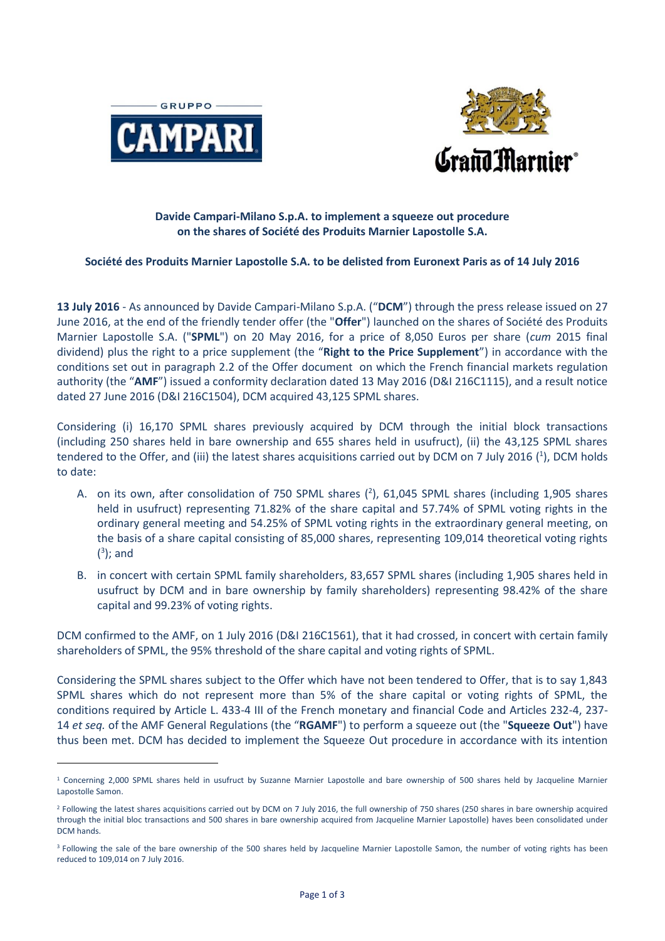

-



# **Davide Campari-Milano S.p.A. to implement a squeeze out procedure on the shares of Société des Produits Marnier Lapostolle S.A.**

# **Société des Produits Marnier Lapostolle S.A. to be delisted from Euronext Paris as of 14 July 2016**

**13 July 2016** - As announced by Davide Campari-Milano S.p.A. ("**DCM**") through the press release issued on 27 June 2016, at the end of the friendly tender offer (the "**Offer**") launched on the shares of Société des Produits Marnier Lapostolle S.A. ("**SPML**") on 20 May 2016, for a price of 8,050 Euros per share (*cum* 2015 final dividend) plus the right to a price supplement (the "**Right to the Price Supplement**") in accordance with the conditions set out in paragraph 2.2 of the Offer document on which the French financial markets regulation authority (the "**AMF**") issued a conformity declaration dated 13 May 2016 (D&I 216C1115), and a result notice dated 27 June 2016 (D&I 216C1504), DCM acquired 43,125 SPML shares.

Considering (i) 16,170 SPML shares previously acquired by DCM through the initial block transactions (including 250 shares held in bare ownership and 655 shares held in usufruct), (ii) the 43,125 SPML shares tendered to the Offer, and (iii) the latest shares acquisitions carried out by DCM on 7 July 2016 ( $^1$ ), DCM holds to date:

- A. on its own, after consolidation of 750 SPML shares  $(^2)$ , 61,045 SPML shares (including 1,905 shares held in usufruct) representing 71.82% of the share capital and 57.74% of SPML voting rights in the ordinary general meeting and 54.25% of SPML voting rights in the extraordinary general meeting, on the basis of a share capital consisting of 85,000 shares, representing 109,014 theoretical voting rights  $(3)$ ; and
- B. in concert with certain SPML family shareholders, 83,657 SPML shares (including 1,905 shares held in usufruct by DCM and in bare ownership by family shareholders) representing 98.42% of the share capital and 99.23% of voting rights.

DCM confirmed to the AMF, on 1 July 2016 (D&I 216C1561), that it had crossed, in concert with certain family shareholders of SPML, the 95% threshold of the share capital and voting rights of SPML.

Considering the SPML shares subject to the Offer which have not been tendered to Offer, that is to say 1,843 SPML shares which do not represent more than 5% of the share capital or voting rights of SPML, the conditions required by Article L. 433-4 III of the French monetary and financial Code and Articles 232-4, 237- 14 *et seq.* of the AMF General Regulations (the "**RGAMF**") to perform a squeeze out (the "**Squeeze Out**") have thus been met. DCM has decided to implement the Squeeze Out procedure in accordance with its intention

<sup>&</sup>lt;sup>1</sup> Concerning 2,000 SPML shares held in usufruct by Suzanne Marnier Lapostolle and bare ownership of 500 shares held by Jacqueline Marnier Lapostolle Samon.

<sup>&</sup>lt;sup>2</sup> Following the latest shares acquisitions carried out by DCM on 7 July 2016, the full ownership of 750 shares (250 shares in bare ownership acquired through the initial bloc transactions and 500 shares in bare ownership acquired from Jacqueline Marnier Lapostolle) haves been consolidated under DCM hands.

<sup>&</sup>lt;sup>3</sup> Following the sale of the bare ownership of the 500 shares held by Jacqueline Marnier Lapostolle Samon, the number of voting rights has been reduced to 109,014 on 7 July 2016.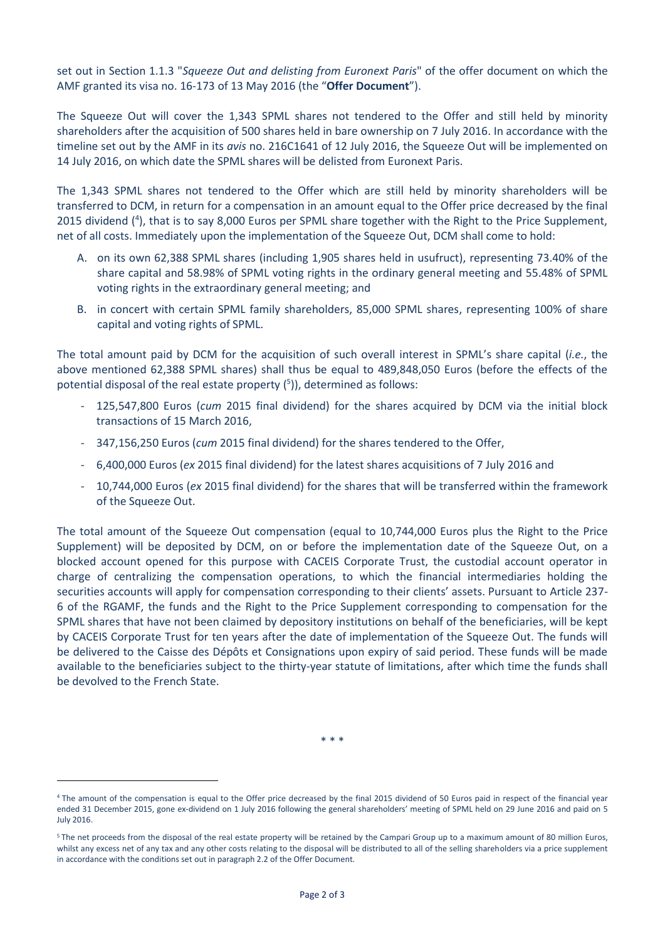set out in Section 1.1.3 "*Squeeze Out and delisting from Euronext Paris*" of the offer document on which the AMF granted its visa no. 16-173 of 13 May 2016 (the "**Offer Document**").

The Squeeze Out will cover the 1,343 SPML shares not tendered to the Offer and still held by minority shareholders after the acquisition of 500 shares held in bare ownership on 7 July 2016. In accordance with the timeline set out by the AMF in its *avis* no. 216C1641 of 12 July 2016, the Squeeze Out will be implemented on 14 July 2016, on which date the SPML shares will be delisted from Euronext Paris.

The 1,343 SPML shares not tendered to the Offer which are still held by minority shareholders will be transferred to DCM, in return for a compensation in an amount equal to the Offer price decreased by the final 2015 dividend (<sup>4</sup>), that is to say 8,000 Euros per SPML share together with the Right to the Price Supplement, net of all costs. Immediately upon the implementation of the Squeeze Out, DCM shall come to hold:

- A. on its own 62,388 SPML shares (including 1,905 shares held in usufruct), representing 73.40% of the share capital and 58.98% of SPML voting rights in the ordinary general meeting and 55.48% of SPML voting rights in the extraordinary general meeting; and
- B. in concert with certain SPML family shareholders, 85,000 SPML shares, representing 100% of share capital and voting rights of SPML.

The total amount paid by DCM for the acquisition of such overall interest in SPML's share capital (*i.e.*, the above mentioned 62,388 SPML shares) shall thus be equal to 489,848,050 Euros (before the effects of the potential disposal of the real estate property (<sup>5</sup>)), determined as follows:

- 125,547,800 Euros (*cum* 2015 final dividend) for the shares acquired by DCM via the initial block transactions of 15 March 2016,
- 347,156,250 Euros (*cum* 2015 final dividend) for the shares tendered to the Offer,
- 6,400,000 Euros (*ex* 2015 final dividend) for the latest shares acquisitions of 7 July 2016 and
- 10,744,000 Euros (*ex* 2015 final dividend) for the shares that will be transferred within the framework of the Squeeze Out.

The total amount of the Squeeze Out compensation (equal to 10,744,000 Euros plus the Right to the Price Supplement) will be deposited by DCM, on or before the implementation date of the Squeeze Out, on a blocked account opened for this purpose with CACEIS Corporate Trust, the custodial account operator in charge of centralizing the compensation operations, to which the financial intermediaries holding the securities accounts will apply for compensation corresponding to their clients' assets. Pursuant to Article 237- 6 of the RGAMF, the funds and the Right to the Price Supplement corresponding to compensation for the SPML shares that have not been claimed by depository institutions on behalf of the beneficiaries, will be kept by CACEIS Corporate Trust for ten years after the date of implementation of the Squeeze Out. The funds will be delivered to the Caisse des Dépôts et Consignations upon expiry of said period. These funds will be made available to the beneficiaries subject to the thirty-year statute of limitations, after which time the funds shall be devolved to the French State.

\* \* \*

-

<sup>4</sup> The amount of the compensation is equal to the Offer price decreased by the final 2015 dividend of 50 Euros paid in respect of the financial year ended 31 December 2015, gone ex-dividend on 1 July 2016 following the general shareholders' meeting of SPML held on 29 June 2016 and paid on 5 July 2016.

<sup>&</sup>lt;sup>5</sup> The net proceeds from the disposal of the real estate property will be retained by the Campari Group up to a maximum amount of 80 million Euros, whilst any excess net of any tax and any other costs relating to the disposal will be distributed to all of the selling shareholders via a price supplement in accordance with the conditions set out in paragraph 2.2 of the Offer Document.